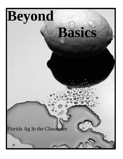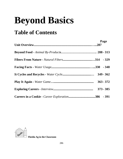# **Beyond Basics**

## **Table of Contents**

| Page        |
|-------------|
|             |
|             |
|             |
|             |
| $363 - 372$ |
|             |
|             |



 **Florida Ag in the Classroom**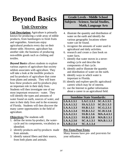## **Beyond Basics**

### **Unit Overview**

**Unit Description:** Agriculture is primarily known for producing a wide array of edible products, from hamburgers to fresh fruits and vegetables. Americans enjoy agricultural products every day on their dinner table. However, agriculture has another side; the business of producing non-edible goods such as clothing and textiles.

*Beyond Basics* allows students to explore various aspects of agriculture that society seldom associates with agriculture. They will take a look at the inedible products and by-products of agriculture that come from plants and animals. They will learn how these products and by-products play an important role in their daily lives. Students will then investigate one of our most important resources - water. They will identify the types and amounts of water found on earth, sources of water, and uses in their daily lives and in the economy of Florida. Students will then discover the many career opportunities in the field of agriculture.

**Objectives:**The students will:

- 1. define the terms by-product, the watercycle and its components, vocabulary as identified.
- 2. identify products and by-products made from animals.
- 3. identify natural fibers and their source, from both plants and animals.

### **Grade Levels - Middle School**

### **Subjects - Science, Social Studies, Math, Language Arts**

- 4. illustrate the quantity and distribution of water on the earth and identify the various geographic locations where water can be found.
- 5. recognize the amounts of water used in agricultural and daily activities.
- 6. research and create a class book on water facts.
- 7. identify that water moves in a neverending cycle and describe the components of that cycle.
- 8. identify and/or illustrate the quantity and distribution of water on the earth.
- 9. identify ways in which water is important to Florida.
- 10. identify and explore specific agricultural careers which may be of interest.
- 11. use the Internet to gather information about a career in an agricultural field.

| <b>Sunshine State Standards:</b> |                   |                   |  |
|----------------------------------|-------------------|-------------------|--|
| LA.A.1.3.1                       | LA.C.1.3.1        | <b>SC.A.1.3.5</b> |  |
| LA.A.1.3.2                       | SS.A.5.3.3        | <b>SC.D.1.3.3</b> |  |
| LA.A.1.3.3                       | <b>SS.B.1.3.1</b> | <b>SC.G.2.3.1</b> |  |
| LA.A.1.3.4                       | SS.B.1.3.2        | <b>SC.H.3.3.6</b> |  |
| LA.A.2.3.1                       | <b>SS.B.1.3.6</b> | <b>MA.A.4.3.1</b> |  |
| LA.A.2.3.5                       | <b>SS.B.2.3.8</b> | <b>MA.B.1.3.1</b> |  |
| LA.A.2.3.6                       | <b>SC.A.1.3.1</b> | <b>MA.B.1.3.3</b> |  |
| LA.B.2.3.4                       | <b>SC.A.1.3.4</b> |                   |  |

### **Pre-Tests/Post-Tests:**

Many lessons have pre- and post-tests for your utilization.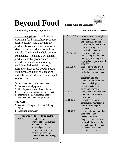## **Beyond Food Florida Ag in the Classroom**



#### *Mathematics, Science, Language Arts**Beyond Basics - Lesson 1*

**Brief Description:** In addition to producing food, agriculture produces other necessities and a great many products beyond absolute necessities. Many of these products come from animals. They may be edible but most are inedible. The many ways animal products and by-products are used to provide or manufacture clothing, medicines, industrial products, cosmetics, household goods, sports equipment, and luxuries is amazing. Virtually every part of an animal is put to good use.

**Objectives:** Students will be able to:

- **Q** define the term by-product.
- $\Theta$  identify products made from animals.
- $\bullet$  recognize the importance of by-products.
- $\bullet$  determine the circumference, area or volume of agricultural by-products.

#### **Life Skills:**

- $\bullet$  Decision Making and Problem Solving Skills
- $\Theta$  Acquiring Information

#### **Sunshine State Standards:**

L.A.A.1.3.1 - uses background knowledge of the subject and text structure knowledge to make complex predictions of content, purpose and organization of the reading selection.

| L.A.A.1.3.2   | uses a variety of strategies<br>to analyze words and text,<br>draw conclusions, use<br>context and word structure<br>clues and recognize<br>organizational patterns.                                                                |
|---------------|-------------------------------------------------------------------------------------------------------------------------------------------------------------------------------------------------------------------------------------|
| L.A.D.2.3.1   | uses words and images<br>that best express intended<br>messages; uses language<br>appropriate to purpose and<br>audience.                                                                                                           |
| M.A.B.1.3.1 - | uses concrete and graphic<br>models to derive formulas<br>for finding perimeter, area,<br>surface area.<br>circumference, and<br>volume of two- and three-<br>dimensional shapes,<br>including rectangular<br>solids and cylinders. |
| SC.G.2.3.1    | knows that some resources<br>are renewable and non-<br>renewable.                                                                                                                                                                   |
| SC.H.3.3.6    | knows that scientific<br>contributions may result in<br>diverse technological<br>products.                                                                                                                                          |
| SC.H.3.3.6    | knows that no matter who<br>does science and<br>mathematics or invents<br>things or when or where<br>they do it, the knowledge<br>and technology that result<br>can eventually become<br>available to everyone.                     |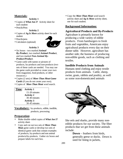#### **Materials:**

#### **Activity 1**

- Copies of *What Am I?* Activity sheet for each student
- Pencils/Pens

#### **Activity 2**

- Copies of *Ag Is More* activity sheet for each student
- Pencils/pens
- Calculators (optional)



#### **Activity 3**

- Six boxes two marked *Animal By-Product*, two marked *Animal Product*, and two marked *Non-Animal By-Product/Product*.
- Game cards with names or pictures of products, by-products and non-products (two sets of these cards are needed. You may use the game cards provided or create your own from magazines, food products, or other resources.)
- Copies (2 sets) of *More Than Meat Game Cards* (if you do not create your own).
- Copies of *More Than Meat* word search.



**Vocabulary:** by-products, edible, inedible, products, processing

#### **Preparation**:

- Make double-sided copies of *What Am I?* activity sheet.
- Copy and cut out two sets of *More Than Meat* game cards or develop two sets of identical game cards that contain examples of products, by-products and non animal products/by-products. Gather six boxes and prepare labels for each box.

• Copy the *More Than Meat* word search activity sheet and *Ag Is More* activity sheet, one for each student.

#### **Background Information:**

### **Agricultural Products and By-Products**

Agriculture is primarily known for producing a wide variety of edible products. From hamburgers to fresh fruits and vegetables, Americans enjoy agricultural products every day on their dinner table. However, agriculture has another side; the business of producing non-edible goods, such as clothing and textiles.

#### **Inedible Products from Animals**

Humans need clothing and enjoy textile products from animals. Cattle, sheep, swine, goats, rabbits and poultry, as well as some non-domesticated animals



like eels and sharks, provide many nonedible products for our society. The fiber products that we get from these animals include:

> **Down** – feathers from birds, generally geese or ducks. Down is used for lining in jackets,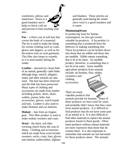comforters, pillows and mattresses. Down is a good insulator and it helps to block cold air and prevent it from reaching your skin.

**Fur** – a thick coat of soft hair that covers the body of a mammal. The fur is used to make the lining for certain clothing such as coats, gloves and slippers, as well as for decorative trim on such garments. This fiber also keeps in warmth, so it is used mainly during the winter.

**Leather** – dressed (or clean) hide of an animal, generally cattle hides although hogs, ostrich, alligator, snake and other animals are also used. The hair has been removed and the hide has been preserved. Many types of clothing and accessories are made from leather including jackets, skirts, shoes, wallets, purses, belts, hair accessories, gloves, watch bands and hats. Leather is also used to make furniture and car interiors.

**Mohair** – hair from an Angora goat. This fiber product is used to make mohair sweaters and coats.

**Wool** – the thick, soft fiber covering which forms the coat of sheep. Clothing and accessories which are made from wool include sweaters, socks, coats, hats, gloves and mittens, underclothes, afghans

and blankets. These articles are generally used during the winter since wool is a good insulator and is warm.

#### **MinimizingWaste**

In producing food for human consumption, we also get certain valuable by-products. A by-product is something that is produced from the leftovers of making something else. These by-products can be broken down into those that are edible and those that are inedible. Edible means something that is fit to be eaten. An inedible product, therefore, is something that is not fit to be eaten. Some inedible agriculture products from animals include: art brushes, film, rubber,

cosmetics and clothing accessories.

There are many

valuable products that animals provide for humans. Some of these products we have used for years and probably didn't know that they came from animal products. It is difficult to find products that do not have some part of an animal in it. It is also difficult to find other materials to replace the animal products found in these goods. Often times products without animal materials are more expensive than those that do contain them. It is also important to remember that animals are not harvested for these products alone. The animals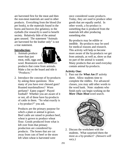are harvested first for the meat and then the non-meat materials are used in other products. Everything from the blood (for pet foods), to the materials found in the horns and hooves (for gelatins), to the eyeballs (for research) is used to benefit society. Relatively little of the animal goes unused. The statement "Animals are harvested for the leather only" is not a true statement.

#### **Introduction:**

1. Animals produce more than just meat, milk, eggs and



wool. Brainstorm with the students products that come from animals. Make a list on the board and title it "Products."

2. Introduce the concept of by-products by asking these questions: How many of you have ever chewed gum? Roasted marshmallows? Worn perfume? Eaten yogurt? Played football? Whether you are aware of it or not, all of these have by-products of cattle in them. "So what exactly is a by-product?" you ask.

Products are the primary purpose for which a plant or animal is grown. Beef cattle are raised to produce beef, wheat is grown to produce wheat flour. Goods produced from what is left over from that primary production are considered byproducts. The bones that are cut away from cuts of beef or the straw left when wheat is harvested were

once considered waste products. Today, they are used to produce other goods that are equally useful. In other words, a by-product is something that is produced from the materials left after producing something else.

By-products may be edible or inedible. By-products may be used for medical reasons and research. This activity will help us become more aware of the by-products we get from animals, as well as, show us that no part of the animal is wasted. Many products that are used everyday contain animal by-products.

#### **Activity One:**

1. Pass out the *What Am I?* activity sheet. Allow students time to complete the riddles. For advanced classes, you may add other words to the word bank. Note: students who finish early can begin working on the *More Than Meat* word search.



2. Discuss the worksheet with the students. What surprised them the most as a by-product? *(Answers will vary.)*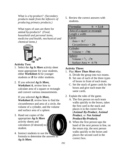What is a by-product*? (Secondary products made from the leftovers of producing primary products.)*

What types of uses are there for animal by-products? *(Food, household and personal items, medicine and health, mechanical and chemical items.)*

![](_page_7_Picture_2.jpeg)

### **Activity Two:**

- 1. Select the *Ag Is More* activity sheet most appropriate for your students, either *Worksheet A* for younger students or *B* for older students.
- 2. If you selected *Ag Is More, Worksheet A*, review how to calculate area of a square or rectangle and convert various measurements.

If you selected *Ag Is More,* 

*Worksheet B*, review how to find the circumference and area of a circle, the volume of a cylinder, and the volume and surface area of a sphere.

3. Hand out copies of the appropriate *Ag Is More* activity sheets and calculators (if desired) to student.

![](_page_7_Picture_9.jpeg)

4. Instruct students to use the formula to determine the answers to *Ag Is More.*

5. Review the correct answers with students.

| <b>Formulas</b><br>$\mathbf{p} = 3.14$      |
|---------------------------------------------|
| Area of a square or rectangle               |
| Length x width                              |
| Circle:                                     |
| Area = $\pi r^2$                            |
| Circumference = $2\pi r$                    |
| Cylinder:                                   |
| Volume = $r^2 \pi h$                        |
| Sphere:                                     |
| Volume = $\frac{4}{3}$ r <sup>3</sup> $\pi$ |
| Surface Area = $4 r^2 \pi$                  |

### **Activity Three:**

- 1. Play *More Than Meat* relay.
	- A. Divide the group into two teams.
	- B. Set one of each of the three types of boxes in front of each team.
	- C. Set the stack of game cards by the boxes and give each team the same cards.
- 2. Explain the rules of the game.
	- A. The first person on each team walks quickly to the boxes, takes the first card in the stack and places it in the correct box (*Animal By-Product*, *Animal Product*, or *Not Animal Product/By-Product***).**
	- B. When the first person taps the hand of the next person in line, on the return trip, the next person walks quickly to the boxes and places the second card in the correct box.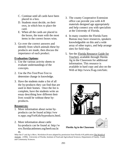- C. Continue until all cards have been placed in a box.
- D. Students must decide, on their own, in which box to place the card.
- E. When all the cards are placed in the boxes, the team with the most items in the correct boxes wins.
- 3. Go over the correct answers and identify from which animals these byproducts are made, then discuss the importance of each product.

### **Evaluation Options**:

- 1. Use the various activity sheets to evaluate understandings of the concepts.
- 2. Use the Pre-Test/Post-Test to determine change in knowledge.
- 3. Have the students make a list of all the by-products they can find that are used in their homes. Once the list is complete, have the students write an essay describing how different their lives would be without these byproducts.

#### **Resources:**

- 1. More information about swine byproducts can be found at:http://ww w.nppc.org/ForKids/byproducts.html.
- 2. More information about cattle by-products can be found at: http://w ww.floridacattlemen.org/beefcout.ht m.
- 3. The county Cooperative Extension office can provide you with 4-H materials designed age appropriately and help connect you with specialists at the University of Florida.
- 4. In many counties the Florida Farm Bureau may have resources, speakers knowledgeable on this and a wide array of other topics, and help arrange sites for field trips.
- 5. See the Florida Resource Guide for Teachers available through Florida Ag in the Classroom for additional information. This resource is available in hard copy and also on the Web at http://www.fl-ag.com/faitc.

![](_page_8_Picture_14.jpeg)

#### **Florida Ag in the Classroom**

*What Am I?* and *Ag is More, Worksheet B* were adapted by permission from Florida 4-H publication The World of Animals. (1996). University of Florida, Institute of Food and Agricultural Sciences; Department of Family, Youth and Community Sciences.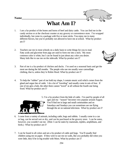**Name\_\_\_\_\_\_\_\_\_\_\_\_\_\_\_\_\_\_\_\_\_\_\_\_\_\_***\_\_\_\_\_\_\_\_\_\_\_\_\_\_\_\_\_\_\_\_*

## **What Am I?**

- 1. I am a by-product of the bones and horns of beef and dairy cattle. You can find me in the candy section or at the checkout counter at any grocery or convenience store. I'm wrapped individually, but come in a package with five or more sticks. You enjoy me in many different flavors, but you're probably not allowed to have me at school. What by-product am I?
- 2. Teachers use me in most schools on a daily basis to write things for you to read. Fatty acids and glycerine from pigs are used to form me into a stick. My most common color is white, but I can be found in just about any color you desire. Many kids like to use me on the sidewalk. What by-product am I?

![](_page_9_Picture_4.jpeg)

- 3. Part of me is a by-product of chicken and ducks. I'm used on a seasonal basis and get the most use during the fall months. The people who use me usually wear camouflage clothing, that is, unless they're Robin Hood. What by-product am I?
- 4. To help the "rubber" part of me hold my shape, I contain stearic acid which comes from the gland and organ fats of cattle. I do a lot of "traveling" and usually come in sets of four. If one of me gets a hole, the other three cannot "travel" at all without the fourth one being fixed. What by-product am I?

![](_page_9_Picture_7.jpeg)

5. I'm a by-product from the hide of cattle. I'm used by people of all ages and my "season" becomes very popular around August. You'll find me in large and small communities and on Saturdays and Sundays you can sometimes see me flying through the air on national television. What by-product am I?

- 6. I come from a variety of animals, including cattle, hogs and rabbits. I usually come in a can or bag, can be served wet or dry, and can be purchased at the grocery store. I can be eaten, however, you wouldn't eat me. (Hint: I can be eaten by mammals, reptiles, amphibians, and birds.) What by-product am I?
- 7. I can be found in all colors and am a by-product of cattle and hogs. You'll usually find children using me on paper. If they were to use me on walls, like you probably did when you were little, they'd be in big trouble with Mom. What by-product am I?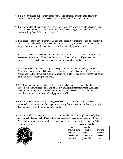- 8. I'm a by-product of cattle. Many times I'm used to light dark or dim places. However, I don't use electricity and I don't need a battery; I do need a flame. What am I?
- 9. I'm a by-product of many animals. I'm used in gardens and lawns to help things grow. You can find me in different size bags at the store. Some people might use manure to accomplish the same thing I do. What by-product am I?
- 10. I am added to many of your sandwiches and am a product of chickens. I can be bought at the grocery store and must be refrigerated after I'm opened. If you leave me out in the heat too long before you eat me, I can make you very sick. What by-product am I?
- 11. I am processed using the bones and horns of cattle. I'm often used at special occasions or events and on vacations. If left alone I'm not much fun to look at, but if you have me processed I can recreate many wonderful memories. What by-product am I?
- 12. I am a by-product of cattle and pigs. I'm very popular with women, models, and actors. Many women use me on a daily basis to enhance their features. I come in all different sizes, shapes and shades. If you look around the room you might see one of your friends with some of me on now! What by-product am I?
- 13. You'll find me as a by-product of cattle. I come in a bag and can be bought at the grocery store. I come in two sizes – large and small. My small size is commonly used during the winter months to top off a hot drink. You'll find my larger size being used around a campfire or to make S'mores. What by-product am I?
- 14. I'm a by-product of the fatty acids and glycerine of pork. I'm very small, but if used improperly I can cause a lot of damage. I'm not very fancy to look at, but if struck just right I can produce a beautiful glow. What by-product am I?
- 15. I'm a by-product of cattle, hogs, and sheep. I'm very beneficial to people, especially those who are sick. I come in all different sizes, shapes and colors and serve a variety of ill people. You can find some of me in the store, but others of me must come from your doctor. What by-product am I?

![](_page_10_Picture_8.jpeg)

| Word Bank   |            |           |
|-------------|------------|-----------|
| arrow       | candle     | chalk     |
| chewing gum | cosmetics  | crayons   |
| fertilizer  | football   | matches   |
| marshmallow | mayonnaise | medicines |
| pet food    | photo film | tires     |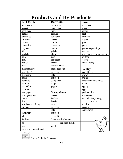### **Products and By-Products**

| <b>Beef Cattle</b>      | <b>Dairy Cattle</b>  | <b>Swine</b>               |
|-------------------------|----------------------|----------------------------|
| art brushes             | art brushes          | bone china                 |
| asphalt                 | bone china           | brush                      |
| bone china              | butter               | buttons                    |
| candles                 | candles              | chalk                      |
| car waxes               | car waxes            | cosmetics                  |
| cleansers               | cheese               | crayons                    |
| combs                   | combs                | glass                      |
| cosmetics               | cosmetics            | gloves                     |
| crayons                 | crayon               | glue sausage casings       |
| felt                    | gelatin              | matches                    |
| footballs               | glues                | meat (pork, ham, sausages) |
| glues                   | gum                  | pet food                   |
| gum                     | ice cream            | records                    |
| leather                 | leather              | valves (heart)             |
| liver                   | marshmallows         |                            |
| marshmallows            | meat (beef, veal)    | <b>Poultry</b>             |
| meat (beef)             | medicines            | animal feeds               |
| medicines               | milk                 | arrows                     |
| paints                  | pet food             | brushes                    |
| perfumes                | sandpaper            | cake decorations mixes     |
| pet food                | soaps                | down                       |
| photo film              | yogurt               | eggnog                     |
| polishes                |                      | eggs                       |
| sandpaper               | <b>Sheep/Goats</b>   | garden mulch               |
| sausage casings         | cheese               | mayonnaise                 |
| soaps                   | fertilizer           | meat (chicken, turkey,     |
| tires                   | lanolin              | duck)                      |
| tripe (stomach lining)  | meat                 | noodles                    |
| wallpaper               | medicines            | pastries                   |
|                         | milk                 | shuttlecocks               |
| <b>Rabbits</b>          | pet food             |                            |
| felt                    | sheepskin            |                            |
| fertilizer              | Sweetbreads (thymus/ |                            |
| fur                     | pancreas glands)     |                            |
| meat                    | wool                 |                            |
| pet and zoo animal food |                      |                            |

**CARE** Florida Ag in the Classroom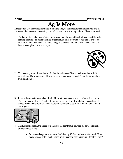## **Ag Is More**

**Directions:** Use the correct formulas to find the area, or use measurement properly to find the answers to the questions concerning by-products that come from agriculture. Show your work.

1. The hair on the end of a cow's tail can be used to make a paint brush of medium stiffness for painting pictures. To make one type of paint brush takes a portion of hair that is 1/8 of an inch thick and  $\frac{1}{4}$  inch wide and  $\frac{1}{2}$  inch long. It is fastened into the brush handle. Draw and label a rectangle this size and depth.

![](_page_12_Picture_5.jpeg)

2. You have a portion of hair that is 1/8 of an inch deep and ¼ of an inch wide in a strip 5 inches long. Draw a diagram. How may paint brushes can be made? Use the information from question #1.

3. It takes almost an 8 ounce glass of milk (1 cup) to manufacture a slice of American cheese. This is because milk is 85% water. If you have a gallon of whole milk, how many slices of cheese can be made from it? (Hint: figure out how many cups of milk are in 1 pint, 1 quart, and 1 gallon.)

![](_page_12_Picture_8.jpeg)

- 4. The fur from a rabbit, the fleece of a sheep or the hair from a cow can all be used to make different kinds of felt.
	- A. From one sheep, a mat of wool felt 3 feet by 10 feet can be manufactured. How many squares of felt can be made from this mat if each square is 1 foot by 1 foot?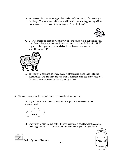B. From one rabbit a very fine angora felt can be made into a mat 1 foot wide by 2 foot long. (The fur is plucked from the rabbit similar to brushing your dog.) How many squares can be made if the squares are 1 foot by 1 foot?

![](_page_13_Picture_1.jpeg)

C. Because angora fur from the rabbit is very fine and scarce it is usually mixed with wool from a sheep. It is common for that mixture to be that is half wool and half angora. If the angora in question 4B is mixed this way, how much more felt would be produced?

![](_page_13_Picture_3.jpeg)

- D. The hair from cattle makes a very coarse felt that is used in making padding in automobiles. The hair from one beef animal can make a felt pad 4 foot wide by 5 foot long. How many square feet of padding is this?
- 5. Six large eggs are used to manufacture every quart jar of mayonnaise.

A. If you have 30 dozen eggs, how many quart jars of mayonnaise can be manufactured?

![](_page_13_Figure_7.jpeg)

B. Only medium eggs are available. If three medium eggs equal two large eggs, how many eggs will be needed to make the same number of jars of mayonnaise?

![](_page_13_Picture_9.jpeg)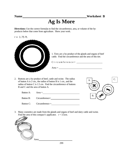## **Ag Is More**

**Directions:** Use the correct formulas to find the circumference, area, or volume of the byproducts below that come from agriculture. Show your work.

 $r = 1.75$  ft.

![](_page_14_Picture_5.jpeg)

2. Buttons are a by-product of beef, cattle and swine. The radius of button A is 2 cm., the radius of button B is 1 cm., and the radius of button C is 1.5 cm. Find the circumference of buttons B and C and the area of button A.

|                    | C. |
|--------------------|----|
| $\mathbf{\hat{x}}$ |    |
|                    |    |
| B.                 |    |

- Button A: Area = Button B: Circumference= Button C: Circumference =
- 3. Many cosmetics are made from the glands and organs of beef and dairy cattle and swine. Find the area of this compact's applicator.  $r = 3.5$ cm.

![](_page_14_Picture_10.jpeg)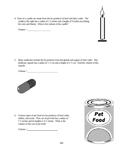4. Parts of a candle are made from the by-products of beef and dairy cattle. The candle to the right has a radius of 1.5 inches and a height of 9 inches (excluding the wick and flame). What is the volume of the candle?

 $Volume =$ 

5. Many medicines include the by-products from the glands and organs of beef cattle. This medicine capsule has a radius of  $1\frac{1}{2}$  cm and a height of  $2\frac{1}{2}$  cm. Find the volume of this capsule.

 $Volume =$ 

![](_page_15_Picture_4.jpeg)

6. Various types of pet food are by-products of beef cattle, rabbits, and swine. This can of pet food has a radius of 1 ½ inches and its heights is 4 ½ inches. What is the volume of this can of pet food?

 $Volume =$ 

![](_page_15_Picture_7.jpeg)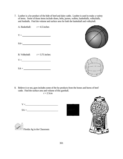7. Leather is a by-product of the hide of beef and dairy cattle. Leather is used to make a variety of items. Some of those items include shoes, belts, purses, wallets, basketballs, volleyballs, and footballs. Find the volume and surface area for both the basketball and volleyball.

| A. Basketball: $r = 4.5$ inches<br>$V = \_$<br>$SA =$ |  |
|-------------------------------------------------------|--|
| B. Volleyball: $r = 3.75$ inches                      |  |
| $V =$                                                 |  |
| $SA =$                                                |  |

8. Believe it or not, gum includes some of the by-products from the bones and horns of beef cattle. Find the surface area and volume of this gumball.

$$
r=2.5cm
$$

![](_page_16_Figure_4.jpeg)

![](_page_16_Picture_5.jpeg)

![](_page_16_Picture_6.jpeg)

 $\sim$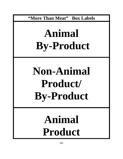**"More Than Meat" Box Labels**

# **Animal By-Product**

# **Non-Animal Product/ By-Product**

# **Animal Product**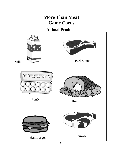### **More Than Meat Game Cards**

### **Animal Products**

![](_page_18_Picture_2.jpeg)

303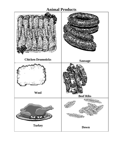### **Animal Products**

![](_page_19_Figure_1.jpeg)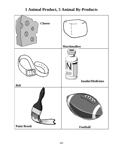### **1 Animal Product, 5 Animal By-Products**

![](_page_20_Figure_1.jpeg)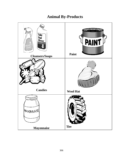### **Animal By-Products**

![](_page_21_Figure_1.jpeg)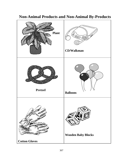![](_page_22_Figure_0.jpeg)

### **Non-Animal Products and Non-Animal By-Products**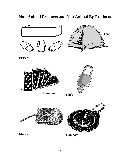![](_page_23_Figure_0.jpeg)

### **Non-Animal Products and Non-Animal By-Products**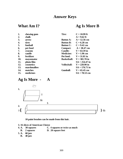### **Answer Keys**

### **What Am I? Ag Is More B**

| 1.  | chewing gum | Tire:              | $C = 10.99$ ft   |
|-----|-------------|--------------------|------------------|
| 2.  | chalk       |                    | $A = 9.62$ ft    |
| 3.  | arrow       | <b>Button A:</b>   | $A = 12.56$ cm   |
| 4.  | tires       | <b>Button B:</b>   | $C = 6.28$ cm    |
| 5.  | football    | <b>Button C:</b>   | $C = 9.42$ cm    |
| 6.  | pet food    | <b>Compact:</b>    | $A = 38.47$ cm   |
| 7.  | crayons     | <b>Candle:</b>     | $V = 63.59$ in   |
| 8.  | candle      | <b>Medicine:</b>   | $V = 1.96$ cm    |
| 9.  | fertilizer  | Pet food:          | $V = 31.81$ in   |
| 10. | mayonnaise  | <b>Basketball:</b> | $V = 381.70$ in  |
| 11. | photo film  |                    | $SA = 254.47$ in |
| 12. | cosmetics   | <b>Volleyball:</b> | $V = 220.90$ in  |
| 13. | marshmallow |                    | $SA = 176.71$ in |
| 14. | matches     | <b>Gumball:</b>    | $V = 65.45$ cm   |
| 15. | medicines   |                    | $SA = 78.53$ cm  |

### **Ag Is More - A**

![](_page_24_Figure_5.jpeg)

**10 paint brushes can be made from this hair.**

- **3. 16 slices of American Cheese**
- **4.** 30 squares **C.** 4 squares or twice as much<br>**B.** 2 squares **D.** 20 square feet
- **D.** 20 square feet
- **5. A. 60 jars**
	- **B. 40 jars**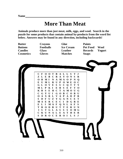### **More Than Meat**

**Animals produce more than just meat, milk, eggs, and wool. Search in the puzzle for some products that contain animal by-products from the word list below. Answers may be found in any direction, including backwards!**

**Butter Crayons Glue Paints**

**Cosmetics Gloves Matches Soaps**

**Buttons Footballs Ice Cream Pet Food Wool Candles Glass Leather Records Yogurt**

![](_page_25_Picture_7.jpeg)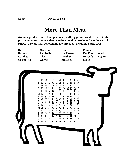### **More Than Meat**

**Animals produce more than just meat, milk, eggs, and wool. Search in the puzzle for some products that contain animal by-products from the word list below. Answers may be found in any direction, including backwards!**

**Butter Crayons Glue Paints**

**Cosmetics Gloves Matches Soaps**

**Buttons Footballs Ice Cream Pet Food Wool Candles Glass Leather Records Yogurt**

![](_page_26_Picture_8.jpeg)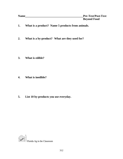- **1. What is a product? Name 5 products from animals.**
- **2. What is a by-product? What are they used for?**

**3. What is edible?**

**4. What is inedible?**

**5. List 10 by-products you use everyday.**

![](_page_27_Picture_6.jpeg)